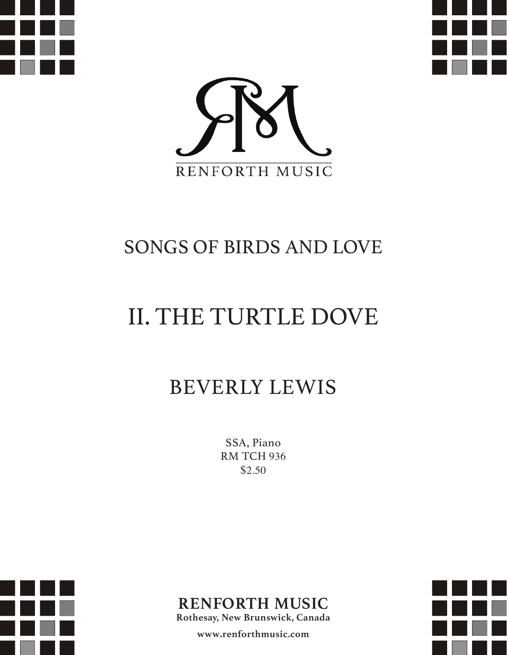





### SONGS OF BIRDS AND LOVE

# II. THE TURTLE DOVE

## BEVERLY LEWIS

SSA, Piano RM TCH 936 \$2.50





**Rothesay, New Brunswick, Canada**

**www.renforthmusic.com**

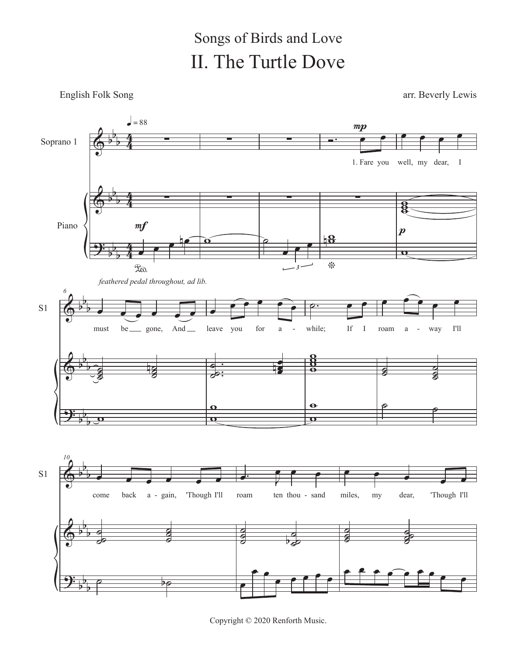#### II. The Turtle Dove Songs of Birds and Love

#### English Folk Song arr. Beverly Lewis



Copyright © 2020 Renforth Music.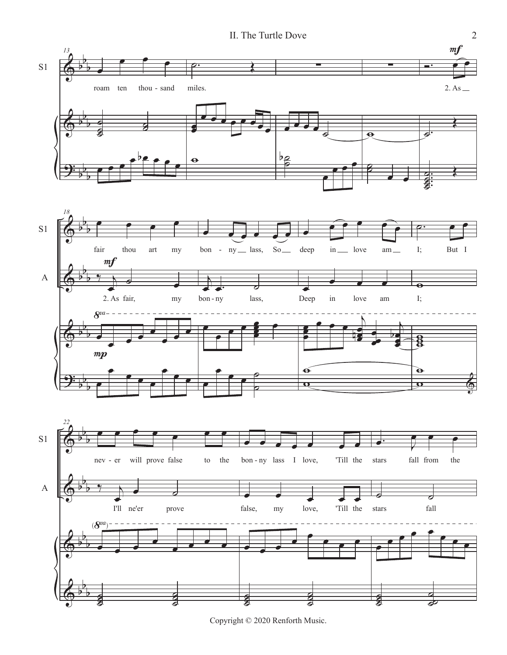

Copyright © 2020 Renforth Music.